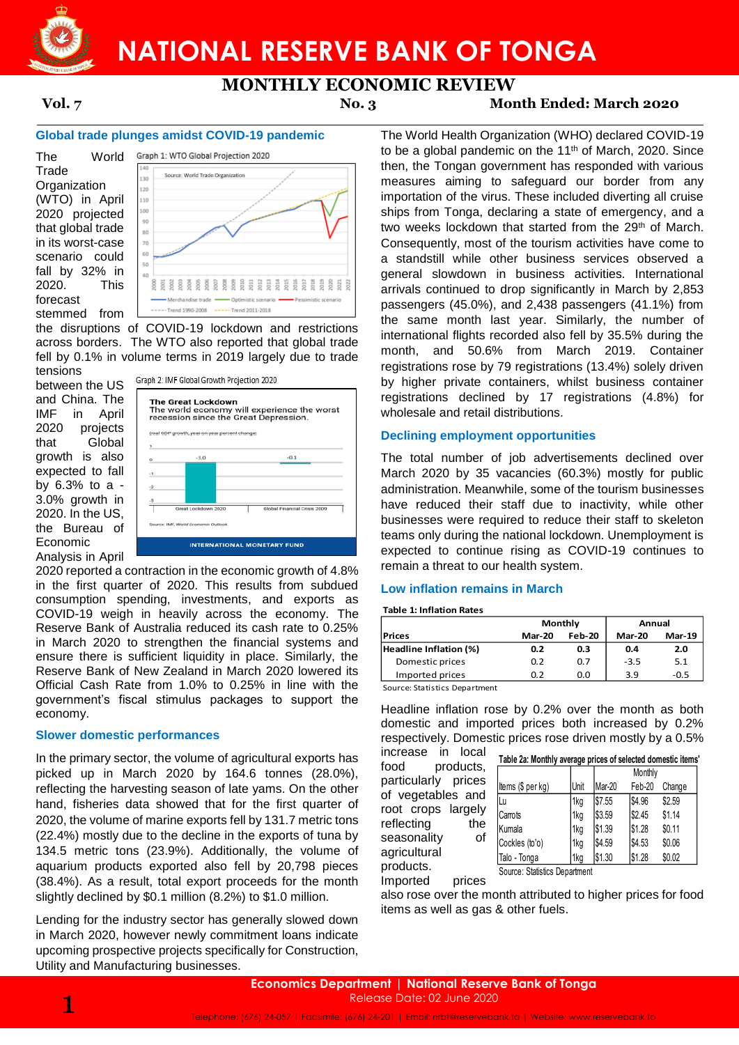

# **NATIONAL RESERVE BANK OF TONGA**

## **MONTHLY ECONOMIC REVIEW**

### **Vol. 7 No. 3 Month Ended: March 2020**

#### **Global trade plunges amidst COVID-19 pandemic**

The World **Trade Organization** (WTO) in April 2020 projected that global trade in its worst-case scenario could fall by 32% in 2020. This forecast stemmed from



the disruptions of COVID-19 lockdown and restrictions across borders. The WTO also reported that global trade fell by 0.1% in volume terms in 2019 largely due to trade

tensions between the US and China. The IMF in April 2020 projects that Global growth is also expected to fall by 6.3% to a - 3.0% growth in 2020. In the US, the Bureau of Economic Analysis in April



2020 reported a contraction in the economic growth of 4.8% in the first quarter of 2020. This results from subdued consumption spending, investments, and exports as COVID-19 weigh in heavily across the economy. The Reserve Bank of Australia reduced its cash rate to 0.25% in March 2020 to strengthen the financial systems and ensure there is sufficient liquidity in place. Similarly, the Reserve Bank of New Zealand in March 2020 lowered its Official Cash Rate from 1.0% to 0.25% in line with the government's fiscal stimulus packages to support the economy.

### **Slower domestic performances**

In the primary sector, the volume of agricultural exports has picked up in March 2020 by 164.6 tonnes (28.0%), reflecting the harvesting season of late yams. On the other hand, fisheries data showed that for the first quarter of 2020, the volume of marine exports fell by 131.7 metric tons (22.4%) mostly due to the decline in the exports of tuna by 134.5 metric tons (23.9%). Additionally, the volume of aquarium products exported also fell by 20,798 pieces (38.4%). As a result, total export proceeds for the month slightly declined by \$0.1 million (8.2%) to \$1.0 million.

Lending for the industry sector has generally slowed down in March 2020, however newly commitment loans indicate upcoming prospective projects specifically for Construction, Utility and Manufacturing businesses.

The World Health Organization (WHO) declared COVID-19 to be a global pandemic on the 11<sup>th</sup> of March, 2020. Since then, the Tongan government has responded with various measures aiming to safeguard our border from any importation of the virus. These included diverting all cruise ships from Tonga, declaring a state of emergency, and a two weeks lockdown that started from the 29<sup>th</sup> of March. Consequently, most of the tourism activities have come to a standstill while other business services observed a general slowdown in business activities. International arrivals continued to drop significantly in March by 2,853 passengers (45.0%), and 2,438 passengers (41.1%) from the same month last year. Similarly, the number of international flights recorded also fell by 35.5% during the month, and 50.6% from March 2019. Container registrations rose by 79 registrations (13.4%) solely driven by higher private containers, whilst business container registrations declined by 17 registrations (4.8%) for wholesale and retail distributions.

### **Declining employment opportunities**

The total number of job advertisements declined over March 2020 by 35 vacancies (60.3%) mostly for public administration. Meanwhile, some of the tourism businesses have reduced their staff due to inactivity, while other businesses were required to reduce their staff to skeleton teams only during the national lockdown. Unemployment is expected to continue rising as COVID-19 continues to remain a threat to our health system.

### **Low inflation remains in March**

#### **Table 1: Inflation Rates**

|                        | Monthly       |               | Annual        |               |  |
|------------------------|---------------|---------------|---------------|---------------|--|
| Prices                 | <b>Mar-20</b> | <b>Feb-20</b> | <b>Mar-20</b> | <b>Mar-19</b> |  |
| Headline Inflation (%) | 0.2           | 0.3           | 0.4           | 2.0           |  |
| Domestic prices        | 0.2           | 0.7           | $-3.5$        | 5.1           |  |
| Imported prices        | 0.2           | 0.0           | 3.9           | $-0.5$        |  |

Source: Statistics Department

Headline inflation rose by 0.2% over the month as both domestic and imported prices both increased by 0.2% respectively. Domestic prices rose driven mostly by a 0.5%

increase in local  $\mathbf{F}_{11}$ ,  $\mathbf{F}_{21}$ food products, particularly prices of vegetables and root crops largely reflecting the seasonality of agricultural products.

| Table 2a: Monthly average prices of selected domestic items' |      |         |         |        |  |  |  |
|--------------------------------------------------------------|------|---------|---------|--------|--|--|--|
|                                                              |      |         | Monthly |        |  |  |  |
| Items (\$ per kg)                                            | Unit | Mar-20  | Feb-20  | Change |  |  |  |
| Lu                                                           | 1kg  | \$7.55  | \$4.96  | \$2.59 |  |  |  |
| Carrots                                                      | 1kg  | \$3.59  | \$2.45  | \$1.14 |  |  |  |
| <b>Kumala</b>                                                | 1kg  | l\$1.39 | \$1.28  | \$0.11 |  |  |  |
| Cockles (to'o)                                               | 1kg  | \$4.59  | \$4.53  | \$0.06 |  |  |  |
| Talo - Tonga                                                 | 1kg  | \$1.30  | \$1.28  | \$0.02 |  |  |  |
| Source: Statistics Department                                |      |         |         |        |  |  |  |

Imported prices

also rose over the month attributed to higher prices for food items as well as gas & other fuels.

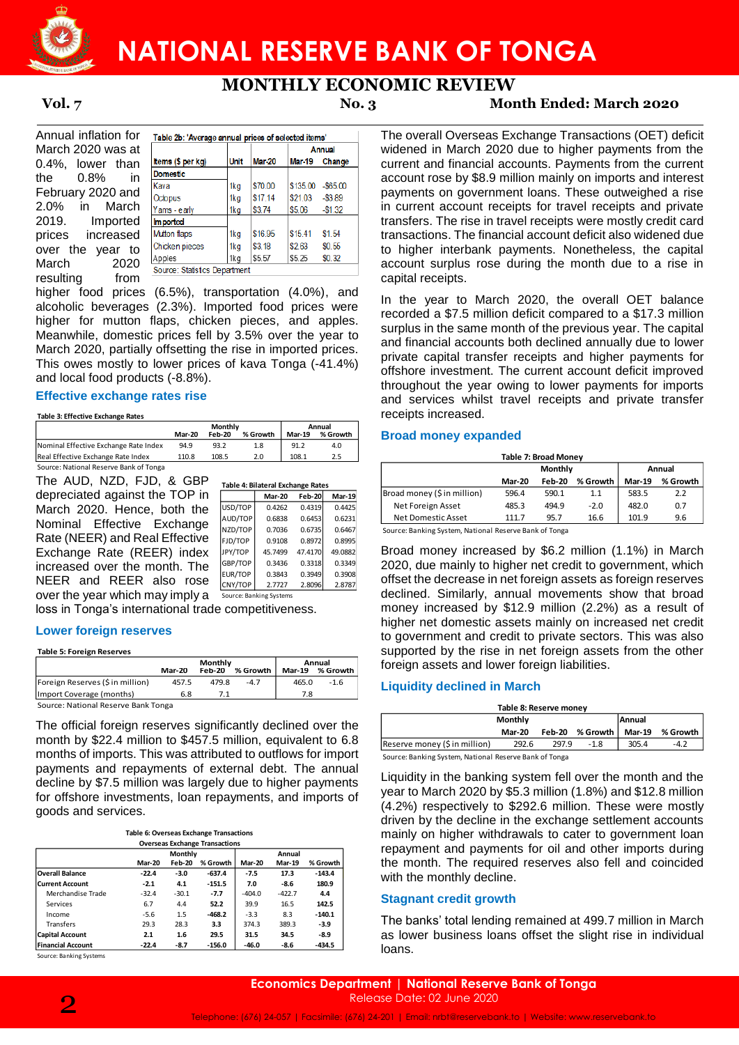

# **NATIONAL RESERVE BANK OF TONGA**

**MONTHLY ECONOMIC REVIEW**

**Vol. 7 No. 3 Month Ended: March 2020**

Annual inflation for March 2020 was at 0.4%, lower than the 0.8% in February 2020 and 2.0% in March 2019. Imported prices increased over the year to March 2020 resulting from

|                   |             |         |          | Annual      |  |  |
|-------------------|-------------|---------|----------|-------------|--|--|
| Items (\$ per kg) | <b>Unit</b> | Mar-20  | Mar-19   | Change      |  |  |
| <b>Domestic</b>   |             |         |          |             |  |  |
| Kava              | 1kg         | \$70.00 | \$135.00 | $-$ \$65.00 |  |  |
| Octopus           | 1ka         | \$17.14 | \$21.03  | $-$ \$389   |  |  |
| Yams - early      | 1kg         | \$3.74  | \$5.06   | $-$1.32$    |  |  |
| <b>Imported</b>   |             |         |          |             |  |  |
| Mutton flaps      | 1kg         | \$16.95 | \$1541   | \$1.54      |  |  |
| Chicken pieces    | 1kg         | \$3.18  | \$2.63   | \$0.55      |  |  |
| Apples            | 1kg         | \$5.57  | \$5.25   | \$0.32      |  |  |

higher food prices (6.5%), transportation (4.0%), and alcoholic beverages (2.3%). Imported food prices were higher for mutton flaps, chicken pieces, and apples. Meanwhile, domestic prices fell by 3.5% over the year to March 2020, partially offsetting the rise in imported prices. This owes mostly to lower prices of kava Tonga (-41.4%) and local food products (-8.8%).

#### **Effective exchange rates rise**

#### **Table 3: Effective Exchange Rates**

|                                        | <b>Monthly</b> |               |          | Annual        |          |
|----------------------------------------|----------------|---------------|----------|---------------|----------|
|                                        | <b>Mar-20</b>  | <b>Feb-20</b> | % Growth | <b>Mar-19</b> | % Growth |
| Nominal Effective Exchange Rate Index  | 94.9           | 93.2          | 1.8      | 91.2          | 4.0      |
| Real Effective Exchange Rate Index     | 110.8          | 108.5         | 2.0      | 108.1         | 2.5      |
| Source: National Reserve Bank of Tonga |                |               |          |               |          |

The AUD, NZD, FJD, & GBP depreciated against the TOP in March 2020. Hence, both the Nominal Effective Exchange Rate (NEER) and Real Effective Exchange Rate (REER) index increased over the month. The NEER and REER also rose over the year which may imply a Source: Banking Systems

| Table 4: Bilateral Exchange Rates |               |         |         |  |  |  |  |
|-----------------------------------|---------------|---------|---------|--|--|--|--|
|                                   | <b>Mar-20</b> | Feb-20  | Mar-19  |  |  |  |  |
| USD/TOP                           | 0.4262        | 0.4319  | 0.4425  |  |  |  |  |
| AUD/TOP                           | 0.6838        | 0.6453  | 0.6231  |  |  |  |  |
| NZD/TOP                           | 0.7036        | 0.6735  | 0.6467  |  |  |  |  |
| FJD/TOP                           | 0.9108        | 0.8972  | 0.8995  |  |  |  |  |
| JPY/TOP                           | 45.7499       | 47.4170 | 49.0882 |  |  |  |  |
| GBP/TOP                           | 0.3436        | 0.3318  | 0.3349  |  |  |  |  |
| EUR/TOP                           | 0.3843        | 0.3949  | 0.3908  |  |  |  |  |
| CNY/TOP                           | 2.7727        | 2.8096  | 2.8787  |  |  |  |  |

loss in Tonga's international trade competitiveness.

#### **Lower foreign reserves**

| <b>Table 5: Foreign Reserves</b>    |               |               |          |               |          |
|-------------------------------------|---------------|---------------|----------|---------------|----------|
|                                     |               | Monthly       |          |               | Annual   |
|                                     | <b>Mar-20</b> | <b>Feb-20</b> | % Growth | <b>Mar-19</b> | % Growth |
| [Foreign Reserves (\$ in million)   | 457.5         | 479.8         | $-4.7$   | 465.0         | $-1.6$   |
| Import Coverage (months)            | 6.8           | 7.1           |          | 7.8           |          |
| Source: National Reserve Bank Tonga |               |               |          |               |          |

Source: National Reserve Bank Tonga

The official foreign reserves significantly declined over the month by \$22.4 million to \$457.5 million, equivalent to 6.8 months of imports. This was attributed to outflows for import payments and repayments of external debt. The annual decline by \$7.5 million was largely due to higher payments for offshore investments, loan repayments, and imports of goods and services.

| Table 6: Overseas Exchange Transactions |
|-----------------------------------------|
| Aussissa Fuskanan Turnandisus           |

| <b>Overseas Exchange Transactions</b> |               |               |          |               |               |          |  |
|---------------------------------------|---------------|---------------|----------|---------------|---------------|----------|--|
|                                       | Monthly       |               |          |               |               |          |  |
|                                       | <b>Mar-20</b> | <b>Feb-20</b> | % Growth | <b>Mar-20</b> | <b>Mar-19</b> | % Growth |  |
| <b>Overall Balance</b>                | $-22.4$       | $-3.0$        | $-637.4$ | $-7.5$        | 17.3          | $-143.4$ |  |
| <b>Current Account</b>                | $-2.1$        | 4.1           | $-151.5$ | 7.0           | $-8.6$        | 180.9    |  |
| Merchandise Trade                     | $-32.4$       | $-30.1$       | $-7.7$   | $-404.0$      | $-422.7$      | 4.4      |  |
| Services                              | 6.7           | 4.4           | 52.2     | 39.9          | 16.5          | 142.5    |  |
| Income                                | $-5.6$        | 1.5           | $-468.2$ | $-3.3$        | 8.3           | $-140.1$ |  |
| Transfers                             | 29.3          | 28.3          | 3.3      | 374.3         | 389.3         | $-3.9$   |  |
| <b>Capital Account</b>                | 2.1           | 1.6           | 29.5     | 31.5          | 34.5          | -8.9     |  |
| <b>Financial Account</b>              | $-22.4$       | $-8.7$        | $-156.0$ | $-46.0$       | $-8.6$        | $-434.5$ |  |

Source: Banking Systems

payments on government loans. These outweighed a rise in current account receipts for travel receipts and private transfers. The rise in travel receipts were mostly credit card transactions. The financial account deficit also widened due to higher interbank payments. Nonetheless, the capital account surplus rose during the month due to a rise in capital receipts. In the year to March 2020, the overall OET balance

The overall Overseas Exchange Transactions (OET) deficit widened in March 2020 due to higher payments from the current and financial accounts. Payments from the current account rose by \$8.9 million mainly on imports and interest

recorded a \$7.5 million deficit compared to a \$17.3 million surplus in the same month of the previous year. The capital and financial accounts both declined annually due to lower private capital transfer receipts and higher payments for offshore investment. The current account deficit improved throughout the year owing to lower payments for imports and services whilst travel receipts and private transfer receipts increased.

#### **Broad money expanded**

| Table 7: Broad Money |          |          |               |          |  |  |  |
|----------------------|----------|----------|---------------|----------|--|--|--|
|                      |          | Annual   |               |          |  |  |  |
| <b>Mar-20</b>        | $Feh-20$ | % Growth | <b>Mar-19</b> | % Growth |  |  |  |
| 596.4                | 590.1    | 1.1      | 583.5         | 2.2      |  |  |  |
| 485.3                | 494.9    | $-2.0$   | 482.0         | 0.7      |  |  |  |
| 111.7                | 95.7     | 16.6     | 101.9         | 9.6      |  |  |  |
|                      |          |          | Monthly       |          |  |  |  |

Source: Banking System, National Reserve Bank of Tonga

Broad money increased by \$6.2 million (1.1%) in March 2020, due mainly to higher net credit to government, which offset the decrease in net foreign assets as foreign reserves declined. Similarly, annual movements show that broad money increased by \$12.9 million (2.2%) as a result of higher net domestic assets mainly on increased net credit to government and credit to private sectors. This was also supported by the rise in net foreign assets from the other foreign assets and lower foreign liabilities. Table 7: Broad Strong Have a time in the competition in Fig. C GBP Table 2: Broad money (Sin million) 566.4 350.1<br>
Table 2: Broad money (Sin million) 566.4 350.1<br>
New Exchange Nazone a starse and the second of the Exchan

#### **Liquidity declined in March**

| Table 8: Reserve money                                    |  |  |  |               |          |  |  |
|-----------------------------------------------------------|--|--|--|---------------|----------|--|--|
| <b>Annual</b><br>Monthly                                  |  |  |  |               |          |  |  |
| Feb-20 % Growth<br><b>Mar-20</b>                          |  |  |  | <b>Mar-19</b> | % Growth |  |  |
| Reserve money (\$ in million)<br>292.6<br>297.9<br>$-1.8$ |  |  |  | 305.4         | $-4.2$   |  |  |
| Source: Banking System, National Reserve Bank of Tonga    |  |  |  |               |          |  |  |

Liquidity in the banking system fell over the month and the year to March 2020 by \$5.3 million (1.8%) and \$12.8 million (4.2%) respectively to \$292.6 million. These were mostly driven by the decline in the exchange settlement accounts mainly on higher withdrawals to cater to government loan repayment and payments for oil and other imports during the month. The required reserves also fell and coincided with the monthly decline.

### **Stagnant credit growth**

The banks' total lending remained at 499.7 million in March as lower business loans offset the slight rise in individual loans.